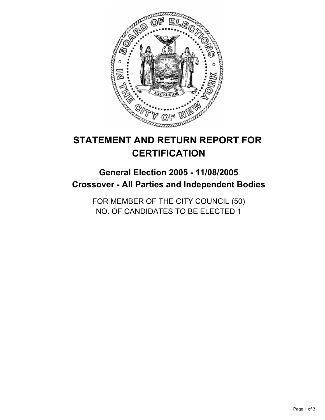

# **STATEMENT AND RETURN REPORT FOR CERTIFICATION**

## **General Election 2005 - 11/08/2005 Crossover - All Parties and Independent Bodies**

FOR MEMBER OF THE CITY COUNCIL (50) NO. OF CANDIDATES TO BE ELECTED 1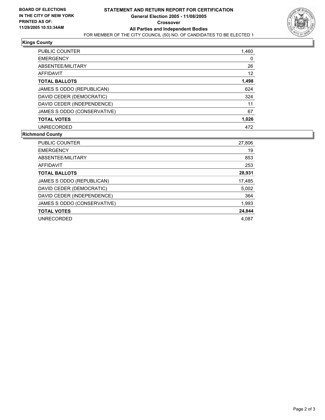

### **Kings County**

| <b>PUBLIC COUNTER</b>       | 1,460 |
|-----------------------------|-------|
| <b>EMERGENCY</b>            | 0     |
| ABSENTEE/MILITARY           | 26    |
| AFFIDAVIT                   | 12    |
| <b>TOTAL BALLOTS</b>        | 1,498 |
| JAMES S ODDO (REPUBLICAN)   | 624   |
| DAVID CEDER (DEMOCRATIC)    | 324   |
| DAVID CEDER (INDEPENDENCE)  | 11    |
| JAMES S ODDO (CONSERVATIVE) | 67    |
| <b>TOTAL VOTES</b>          | 1,026 |
| <b>UNRECORDED</b>           | 472   |

### **Richmond County**

| PUBLIC COUNTER              | 27,806 |
|-----------------------------|--------|
| <b>EMERGENCY</b>            | 19     |
| ABSENTEE/MILITARY           | 853    |
| AFFIDAVIT                   | 253    |
| <b>TOTAL BALLOTS</b>        | 28,931 |
| JAMES S ODDO (REPUBLICAN)   | 17,485 |
| DAVID CEDER (DEMOCRATIC)    | 5,002  |
| DAVID CEDER (INDEPENDENCE)  | 364    |
| JAMES S ODDO (CONSERVATIVE) | 1,993  |
| <b>TOTAL VOTES</b>          | 24,844 |
| <b>UNRECORDED</b>           | 4.087  |